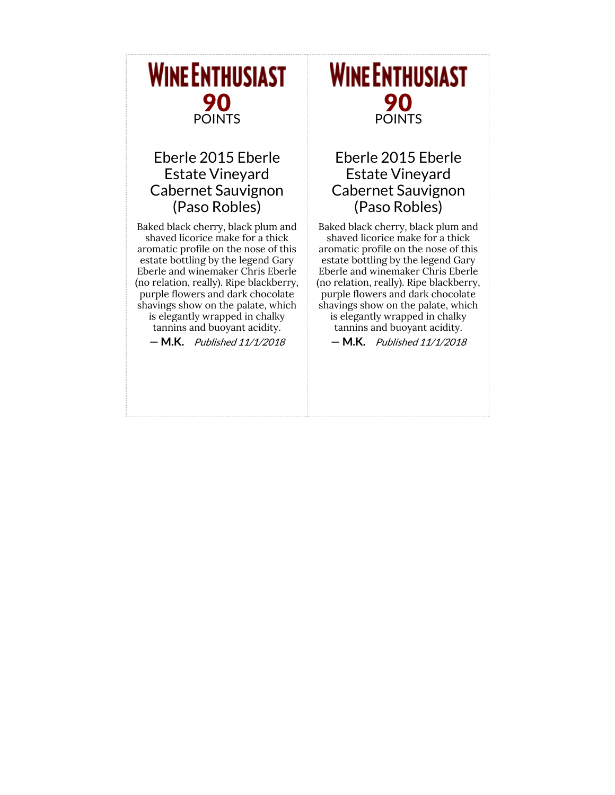# **WINE ENTHUSIAST** 90 POINTS

### Eberle 2015 Eberle Estate Vineyard Cabernet Sauvignon (Paso Robles)

Baked black cherry, black plum and shaved licorice make for a thick aromatic profile on the nose of this estate bottling by the legend Gary Eberle and winemaker Chris Eberle (no relation, really). Ripe blackberry, purple flowers and dark chocolate shavings show on the palate, which is elegantly wrapped in chalky

tannins and buoyant acidity.

— M.K. Published 11/1/2018

# **WINE ENTHUSIAST** 90 POINTS

#### Eberle 2015 Eberle Estate Vineyard Cabernet Sauvignon (Paso Robles)

Baked black cherry, black plum and shaved licorice make for a thick aromatic profile on the nose of this estate bottling by the legend Gary Eberle and winemaker Chris Eberle (no relation, really). Ripe blackberry, purple flowers and dark chocolate shavings show on the palate, which is elegantly wrapped in chalky tannins and buoyant acidity.

— M.K. Published 11/1/2018